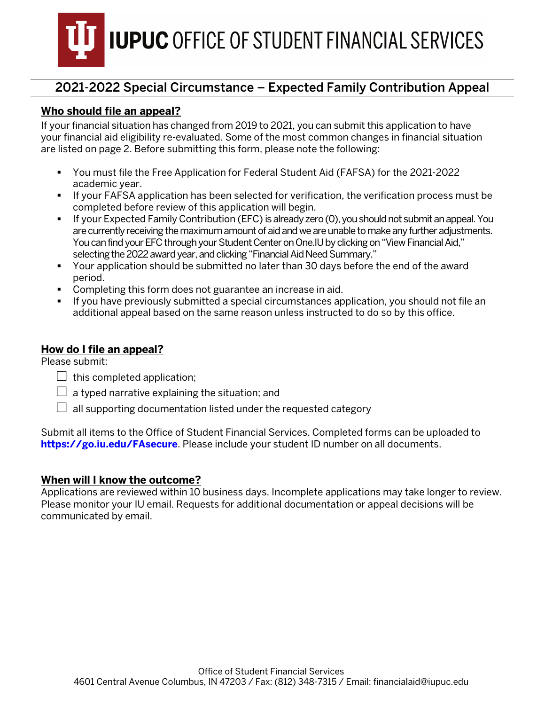

### **Who should file an appeal?**

If your financial situation has changed from 2019 to 2021, you can submit this application to have your financial aid eligibility re-evaluated. Some of the most common changes in financial situation are listed on page 2. Before submitting this form, please note the following:

- You must file the Free Application for Federal Student Aid (FAFSA) for the 2021-2022 academic year.
- If your FAFSA application has been selected for verification, the verification process must be completed before review of this application will begin.
- If your Expected Family Contribution (EFC) is already zero (0), you should not submit an appeal. You are currently receiving the maximum amount of aid andwe are unable to make any further adjustments. You can findyour EFC through your Student Center on One.IU by clicking on "View Financial Aid," selecting the 2022 award year, and clicking "Financial Aid Need Summary."
- Your application should be submitted no later than 30 days before the end of the award period.
- Completing this form does not guarantee an increase in aid.
- If you have previously submitted a special circumstances application, you should not file an additional appeal based on the same reason unless instructed to do so by this office.

#### **How do I file an appeal?**

Please submit:

- $\Box$  this completed application;
- $\Box$  a typed narrative explaining the situation; and
- $\Box$  all supporting documentation listed under the requested category

Submit all items to the Office of Student Financial Services. Completed forms can be uploaded to **[https://go.iu.edu/FAsecure](https://go.iu.edu/fasecure)**. Please include your student ID number on all documents.

#### **When will I know the outcome?**

Applications are reviewed within 10 business days. Incomplete applications may take longer to review. Please monitor your IU email. Requests for additional documentation or appeal decisions will be communicated by email.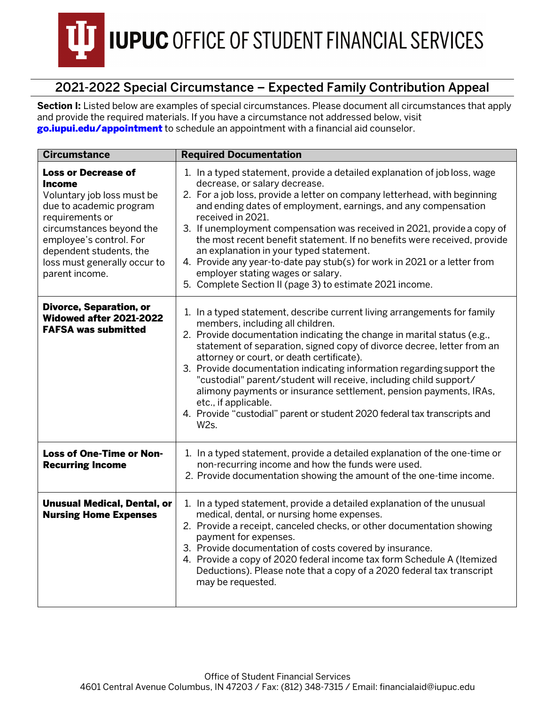

Section I: Listed below are examples of special circumstances. Please document all circumstances that apply and provide the required materials. If you have a circumstance not addressed below, visit [go.iupui.edu/appointment](https://studentcentral.iupui.edu/contact/appointment.html) to schedule an appointment with a financial aid counselor.

| <b>Circumstance</b>                                                                                                                                                                                                                                  | <b>Required Documentation</b>                                                                                                                                                                                                                                                                                                                                                                                                                                                                                                                                                                                                                                  |  |  |
|------------------------------------------------------------------------------------------------------------------------------------------------------------------------------------------------------------------------------------------------------|----------------------------------------------------------------------------------------------------------------------------------------------------------------------------------------------------------------------------------------------------------------------------------------------------------------------------------------------------------------------------------------------------------------------------------------------------------------------------------------------------------------------------------------------------------------------------------------------------------------------------------------------------------------|--|--|
| <b>Loss or Decrease of</b><br>Income<br>Voluntary job loss must be<br>due to academic program<br>requirements or<br>circumstances beyond the<br>employee's control. For<br>dependent students, the<br>loss must generally occur to<br>parent income. | 1. In a typed statement, provide a detailed explanation of job loss, wage<br>decrease, or salary decrease.<br>2. For a job loss, provide a letter on company letterhead, with beginning<br>and ending dates of employment, earnings, and any compensation<br>received in 2021.<br>3. If unemployment compensation was received in 2021, provide a copy of<br>the most recent benefit statement. If no benefits were received, provide<br>an explanation in your typed statement.<br>4. Provide any year-to-date pay stub(s) for work in 2021 or a letter from<br>employer stating wages or salary.<br>5. Complete Section II (page 3) to estimate 2021 income. |  |  |
| <b>Divorce, Separation, or</b><br>Widowed after 2021-2022<br><b>FAFSA was submitted</b>                                                                                                                                                              | 1. In a typed statement, describe current living arrangements for family<br>members, including all children.<br>2. Provide documentation indicating the change in marital status (e.g.,<br>statement of separation, signed copy of divorce decree, letter from an<br>attorney or court, or death certificate).<br>3. Provide documentation indicating information regarding support the<br>"custodial" parent/student will receive, including child support/<br>alimony payments or insurance settlement, pension payments, IRAs,<br>etc., if applicable.<br>4. Provide "custodial" parent or student 2020 federal tax transcripts and<br>W2s.                 |  |  |
| Loss of One-Time or Non-<br><b>Recurring Income</b>                                                                                                                                                                                                  | 1. In a typed statement, provide a detailed explanation of the one-time or<br>non-recurring income and how the funds were used.<br>2. Provide documentation showing the amount of the one-time income.                                                                                                                                                                                                                                                                                                                                                                                                                                                         |  |  |
| <b>Unusual Medical, Dental, or</b><br><b>Nursing Home Expenses</b>                                                                                                                                                                                   | 1. In a typed statement, provide a detailed explanation of the unusual<br>medical, dental, or nursing home expenses.<br>2. Provide a receipt, canceled checks, or other documentation showing<br>payment for expenses.<br>3. Provide documentation of costs covered by insurance.<br>4. Provide a copy of 2020 federal income tax form Schedule A (Itemized<br>Deductions). Please note that a copy of a 2020 federal tax transcript<br>may be requested.                                                                                                                                                                                                      |  |  |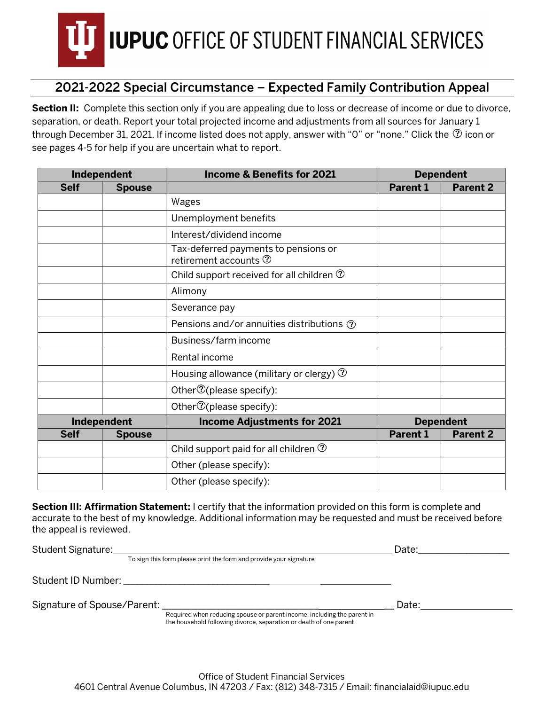

**Section II:** Complete this section only if you are appealing due to loss or decrease of income or due to divorce, separation, or death. Report your total projected income and adjustments from all sources for January 1 through December 31, 2021. If income listed does not apply, answer with "0" or "none." Click the  $@$  icon or see pages 4-5 for help if you are uncertain what to report.

| Independent |               | <b>Income &amp; Benefits for 2021</b>                                     | <b>Dependent</b> |                 |
|-------------|---------------|---------------------------------------------------------------------------|------------------|-----------------|
| <b>Self</b> | <b>Spouse</b> |                                                                           | <b>Parent 1</b>  | <b>Parent 2</b> |
|             |               | Wages                                                                     |                  |                 |
|             |               | Unemployment benefits                                                     |                  |                 |
|             |               | Interest/dividend income                                                  |                  |                 |
|             |               | Tax-deferred payments to pensions or<br>retirement accounts $\circled{2}$ |                  |                 |
|             |               | Child support received for all children $\circled{?}$                     |                  |                 |
|             |               | Alimony                                                                   |                  |                 |
|             |               | Severance pay                                                             |                  |                 |
|             |               | Pensions and/or annuities distributions ①                                 |                  |                 |
|             |               | Business/farm income                                                      |                  |                 |
|             |               | Rental income                                                             |                  |                 |
|             |               | Housing allowance (military or clergy) $\circled{2}$                      |                  |                 |
|             |               | Other $\mathcal{D}$ (please specify):                                     |                  |                 |
|             |               | Other <sup>7</sup> (please specify):                                      |                  |                 |
|             | Independent   | <b>Income Adjustments for 2021</b>                                        | <b>Dependent</b> |                 |
| <b>Self</b> | <b>Spouse</b> |                                                                           | <b>Parent 1</b>  | <b>Parent 2</b> |
|             |               | Child support paid for all children $\circled{?}$                         |                  |                 |
|             |               | Other (please specify):                                                   |                  |                 |
|             |               | Other (please specify):                                                   |                  |                 |

**Section III: Affirmation Statement:** I certify that the information provided on this form is complete and accurate to the best of my knowledge. Additional information may be requested and must be received before the appeal is reviewed.

| Student Signature:          |                                                                                                                                               | Date: |  |
|-----------------------------|-----------------------------------------------------------------------------------------------------------------------------------------------|-------|--|
|                             | To sign this form please print the form and provide your signature                                                                            |       |  |
| Student ID Number:          |                                                                                                                                               |       |  |
| Signature of Spouse/Parent: |                                                                                                                                               | Date: |  |
|                             | Required when reducing spouse or parent income, including the parent in<br>the household following divorce, separation or death of one parent |       |  |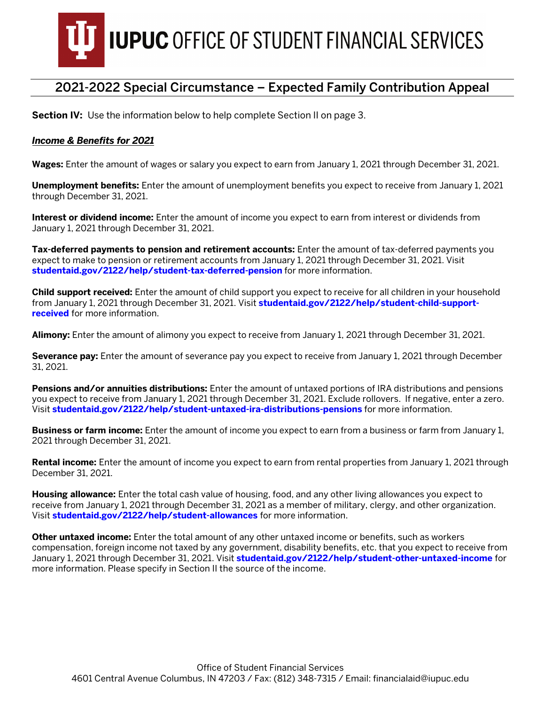

**Section IV:** Use the information below to help complete Section II on page 3.

#### *Income & Benefits for 2021*

**Wages:** Enter the amount of wages or salary you expect to earn from January 1, 2021 through December 31, 2021.

**Unemployment benefits:** Enter the amount of unemployment benefits you expect to receive from January 1, 2021 through December 31, 2021.

**Interest or dividend income:** Enter the amount of income you expect to earn from interest or dividends from January 1, 2021 through December 31, 2021.

**Tax-deferred payments to pension and retirement accounts:** Enter the amount of tax-deferred payments you expect to make to pension or retirement accounts from January 1, 2021 through December 31, 2021. Visit **studentaid.gov/2122/help/stud[ent-tax-deferred-pension](https://studentaid.gov/2122/help/student-tax-deferred-pension)** for more information.

**Child support received:** Enter the amount of child support you expect to receive for all children in your household from January 1, 2021 through December 31, 2021. Visit **studentaid.gov/2122[/help/student-child-support](https://studentaid.gov/2122/help/student-child-support-received)[received](https://studentaid.gov/2122/help/student-child-support-received)** for more information.

**Alimony:** Enter the amount of alimony you expect to receive from January 1, 2021 through December 31, 2021.

**Severance pay:** Enter the amount of severance pay you expect to receive from January 1, 2021 through December 31, 2021.

**Pensions and/or annuities distributions:** Enter the amount of untaxed portions of IRA distributions and pensions you expect to receive from January 1, 2021 through December 31, 2021. Exclude rollovers. If negative, enter a zero. Visit **[studentaid.gov/2122/help/student-untaxed-ira-distributions-pensions](https://studentaid.gov/2122/help/student-untaxed-ira-distributions-pensions)** for more information.

**Business or farm income:** Enter the amount of income you expect to earn from a business or farm from January 1, 2021 through December 31, 2021.

**Rental income:** Enter the amount of income you expect to earn from rental properties from January 1, 2021 through December 31, 2021.

**Housing allowance:** Enter the total cash value of housing, food, and any other living allowances you expect to receive from January 1, 2021 through December 31, 2021 as a member of military, clergy, and other organization. Visit **studentaid.gov/2122[/help/student-allowances](https://studentaid.gov/2122/help/student-allowances)** for more information.

**Other untaxed income:** Enter the total amount of any other untaxed income or benefits, such as workers compensation, foreign income not taxed by any government, disability benefits, etc. that you expect to receive from January 1, 2021 through December 31, 2021. Visit **studentaid.gov/2122[/help/student-other-untaxed-income](https://studentaid.gov/2122/help/student-other-untaxed-income)** for more information. Please specify in Section II the source of the income.